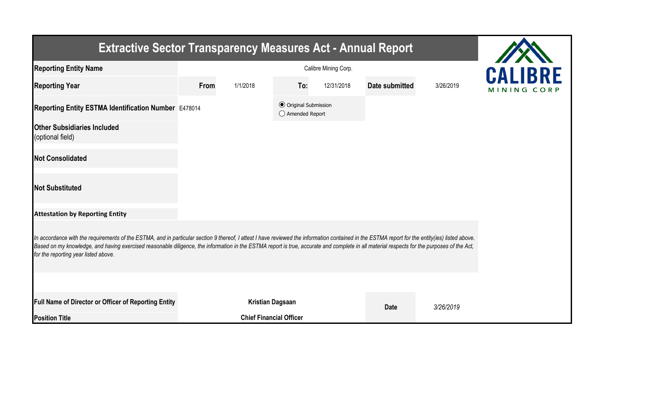| <b>Extractive Sector Transparency Measures Act - Annual Report</b>                                                                                                                                                                                                                                                                                                                                                                    |      |                                |                                                           |            |                       |           |             |  |  |  |
|---------------------------------------------------------------------------------------------------------------------------------------------------------------------------------------------------------------------------------------------------------------------------------------------------------------------------------------------------------------------------------------------------------------------------------------|------|--------------------------------|-----------------------------------------------------------|------------|-----------------------|-----------|-------------|--|--|--|
| <b>Reporting Entity Name</b>                                                                                                                                                                                                                                                                                                                                                                                                          |      | <b>CALIBRE</b>                 |                                                           |            |                       |           |             |  |  |  |
| <b>Reporting Year</b>                                                                                                                                                                                                                                                                                                                                                                                                                 | From | 1/1/2018                       | To:                                                       | 12/31/2018 | <b>Date submitted</b> | 3/26/2019 | MINING CORP |  |  |  |
| Reporting Entity ESTMA Identification Number E478014                                                                                                                                                                                                                                                                                                                                                                                  |      |                                | <b>⊙</b> Original Submission<br>$\bigcirc$ Amended Report |            |                       |           |             |  |  |  |
| <b>Other Subsidiaries Included</b><br>(optional field)                                                                                                                                                                                                                                                                                                                                                                                |      |                                |                                                           |            |                       |           |             |  |  |  |
| <b>Not Consolidated</b>                                                                                                                                                                                                                                                                                                                                                                                                               |      |                                |                                                           |            |                       |           |             |  |  |  |
| <b>Not Substituted</b>                                                                                                                                                                                                                                                                                                                                                                                                                |      |                                |                                                           |            |                       |           |             |  |  |  |
| <b>Attestation by Reporting Entity</b>                                                                                                                                                                                                                                                                                                                                                                                                |      |                                |                                                           |            |                       |           |             |  |  |  |
| In accordance with the requirements of the ESTMA, and in particular section 9 thereof, I attest I have reviewed the information contained in the ESTMA report for the entity(ies) listed above.<br>Based on my knowledge, and having exercised reasonable diligence, the information in the ESTMA report is true, accurate and complete in all material respects for the purposes of the Act,<br>for the reporting year listed above. |      |                                |                                                           |            |                       |           |             |  |  |  |
|                                                                                                                                                                                                                                                                                                                                                                                                                                       |      |                                |                                                           |            |                       |           |             |  |  |  |
| Full Name of Director or Officer of Reporting Entity                                                                                                                                                                                                                                                                                                                                                                                  |      | <b>Kristian Dagsaan</b>        |                                                           |            | <b>Date</b>           | 3/26/2019 |             |  |  |  |
| <b>Position Title</b>                                                                                                                                                                                                                                                                                                                                                                                                                 |      | <b>Chief Financial Officer</b> |                                                           |            |                       |           |             |  |  |  |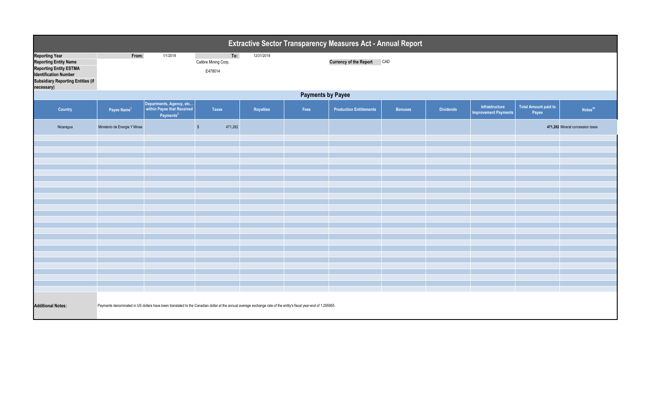| Extractive Sector Transparency Measures Act - Annual Report                                                                                                                      |                                                                                                                                                                 |                                                                                 |                                        |            |      |                                |                |                  |                                               |                                      |                                  |  |
|----------------------------------------------------------------------------------------------------------------------------------------------------------------------------------|-----------------------------------------------------------------------------------------------------------------------------------------------------------------|---------------------------------------------------------------------------------|----------------------------------------|------------|------|--------------------------------|----------------|------------------|-----------------------------------------------|--------------------------------------|----------------------------------|--|
| <b>Reporting Year</b><br><b>Reporting Entity Name</b><br><b>Reporting Entity ESTMA</b><br><b>Identification Number</b><br><b>Subsidiary Reporting Entities (if</b><br>necessary) | From:                                                                                                                                                           | 1/1/2018                                                                        | To:<br>Calibre Mining Corp.<br>E478014 | 12/31/2018 |      | <b>Currency of the Report</b>  | CAD            |                  |                                               |                                      |                                  |  |
|                                                                                                                                                                                  | <b>Payments by Payee</b>                                                                                                                                        |                                                                                 |                                        |            |      |                                |                |                  |                                               |                                      |                                  |  |
| Country                                                                                                                                                                          | Payee Name <sup>1</sup>                                                                                                                                         | Departments, Agency, etc<br>within Payee that Received<br>Payments <sup>2</sup> | Taxes                                  | Royalties  | Fees | <b>Production Entitlements</b> | <b>Bonuses</b> | <b>Dividends</b> | Infrastructure<br><b>Improvement Payments</b> | <b>Total Amount paid to</b><br>Payee | Notes <sup>34</sup>              |  |
| Nicaragua                                                                                                                                                                        | Ministerio de Energia Y Minas                                                                                                                                   |                                                                                 | 471,282<br>$\sqrt{3}$                  |            |      |                                |                |                  |                                               |                                      | 471,282 Mineral concession taxes |  |
|                                                                                                                                                                                  |                                                                                                                                                                 |                                                                                 |                                        |            |      |                                |                |                  |                                               |                                      |                                  |  |
|                                                                                                                                                                                  |                                                                                                                                                                 |                                                                                 |                                        |            |      |                                |                |                  |                                               |                                      |                                  |  |
|                                                                                                                                                                                  |                                                                                                                                                                 |                                                                                 |                                        |            |      |                                |                |                  |                                               |                                      |                                  |  |
|                                                                                                                                                                                  |                                                                                                                                                                 |                                                                                 |                                        |            |      |                                |                |                  |                                               |                                      |                                  |  |
|                                                                                                                                                                                  |                                                                                                                                                                 |                                                                                 |                                        |            |      |                                |                |                  |                                               |                                      |                                  |  |
|                                                                                                                                                                                  |                                                                                                                                                                 |                                                                                 |                                        |            |      |                                |                |                  |                                               |                                      |                                  |  |
|                                                                                                                                                                                  |                                                                                                                                                                 |                                                                                 |                                        |            |      |                                |                |                  |                                               |                                      |                                  |  |
|                                                                                                                                                                                  |                                                                                                                                                                 |                                                                                 |                                        |            |      |                                |                |                  |                                               |                                      |                                  |  |
|                                                                                                                                                                                  |                                                                                                                                                                 |                                                                                 |                                        |            |      |                                |                |                  |                                               |                                      |                                  |  |
|                                                                                                                                                                                  |                                                                                                                                                                 |                                                                                 |                                        |            |      |                                |                |                  |                                               |                                      |                                  |  |
|                                                                                                                                                                                  |                                                                                                                                                                 |                                                                                 |                                        |            |      |                                |                |                  |                                               |                                      |                                  |  |
|                                                                                                                                                                                  |                                                                                                                                                                 |                                                                                 |                                        |            |      |                                |                |                  |                                               |                                      |                                  |  |
|                                                                                                                                                                                  |                                                                                                                                                                 |                                                                                 |                                        |            |      |                                |                |                  |                                               |                                      |                                  |  |
|                                                                                                                                                                                  |                                                                                                                                                                 |                                                                                 |                                        |            |      |                                |                |                  |                                               |                                      |                                  |  |
|                                                                                                                                                                                  |                                                                                                                                                                 |                                                                                 |                                        |            |      |                                |                |                  |                                               |                                      |                                  |  |
| <b>Additional Notes:</b>                                                                                                                                                         | Payments denominated in US dollars have been translated to the Canadian dollar at the annual average exchange rate of the entity's fiscal year-end of 1.295955. |                                                                                 |                                        |            |      |                                |                |                  |                                               |                                      |                                  |  |